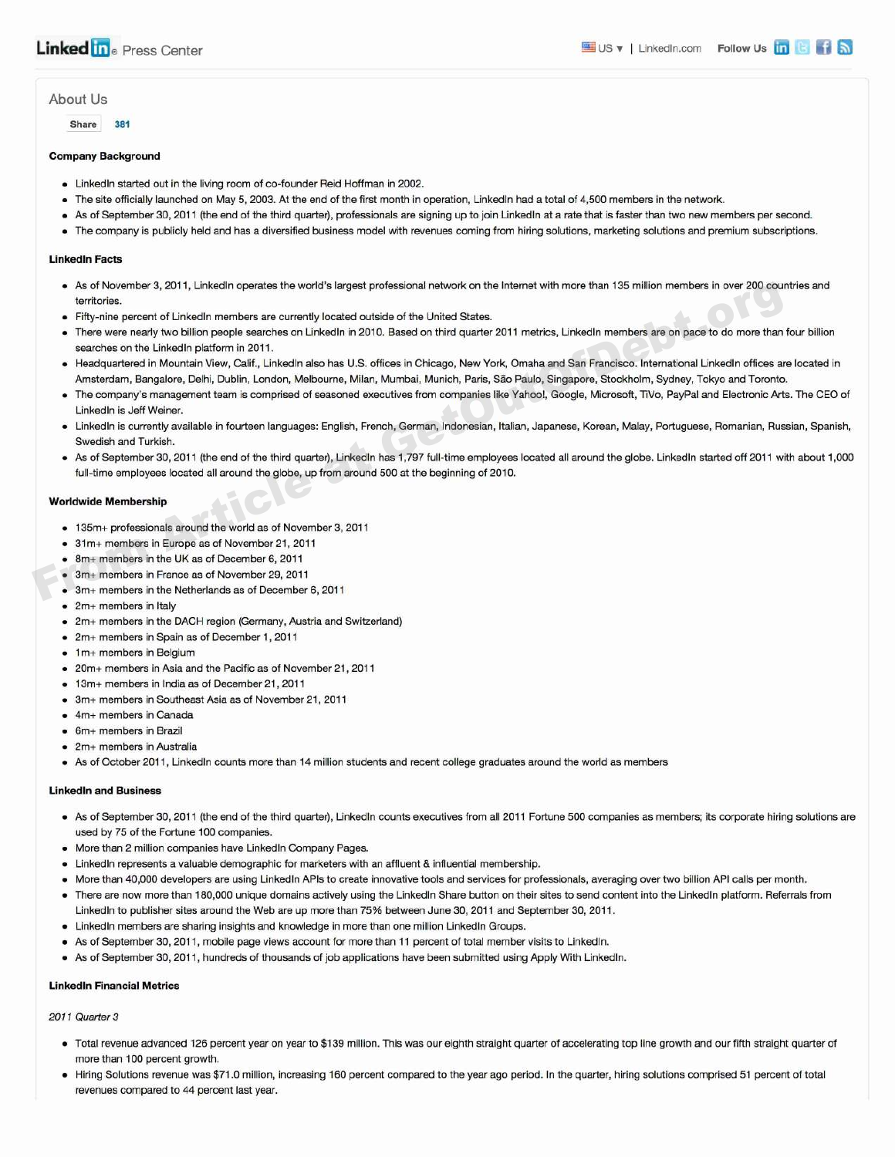# AbOut US

Share 381

### Company Background

- Linkedln started out in the living room of co-founder Reid Hoffman in 2002.
- The site officially launched on May 5, 2003. At the end of the first month in operation, Linkedln had a total of 4,500 members in the network.
- As of September 30, 2011 (the end of the third quarter), professionals are signing up to join Linkedln at a rate that is faster than two new members per second.
- The company is publicly held and has a diversified business model with revenues coming from hiring solutions, marketing solutions and premium subscriptions.

# Linkedln Facts

- As of November 3, 2011, Linkedln operates the world's largest professional network on the Internet with more than 135 million members in over 200 countries and territories.
- Fifty-nine percent of Linkedln members are currently located outside of the United States.
- There were nearly two billion people searches on Linkedln in 2010. Based on third quarter 2011 metrics, Linkedln members are on pace to do more than four billion searches on the Linkedln platform in 2011. Article at Movember 3, 2011, UnkedIn operates the world's largest protessional network on the interact with more than 135 million members in over 200 courner than the UnkedIn members are currently located of the United Sta
	- Headquartered in Mountain View, Calif., Linkedln also has U.S. offices in Chicago, New York, Omaha and San Francisco. International Linkedln offices are located in Amsterdam, Bangalore, Delhi, Dublin, London, Melbourne, Milan, Mumbai, Munich, Paris, Sao Paulo, Singapore, Stockholm, Sydney, Tokyo and Toronto.
	- The company's management team is comprised of seasoned executives from companies like Yahoo!, Google, Microsoft, TiVo, PayPal and Electronic Arts. The CEO of Linkedln is Jeff Weiner.
	- Linkedln is currently available in fourteen languages: English, French, German, Indonesian, Italian, Japanese, Korean, Malay, Portuguese, Romanian, Russian, Spanish, Swedish and Turkish.
	- As of September 30, 2011 (the end of the third quarter), Linkedln has 1,797 full-time employees located all around the globe. Linkedln started off 2011 with about 1,000 full-time employees located all around the globe, up from around 500 at the beginning of 2010.

#### Worldwide Membership

- 135m+ professionals around the world as of November 3, 2011
- 31m+ members in Europe as of November 21, 2011
- 8m+ members in the UK as of December 6, 2011
- 3m+ members in France as of November 29, 2011
- 3m+ members in the Netherlands as of December 6, 2011
- 2m+ members in Italy
- 2m+ members in the DACH region (Germany, Austria and Switzerland)
- 2m+ members in Spain as of December 1, 2011
- 1m+ members in Belgium
- 20m+ members in Asia and the Pacific as of November 21, 2011
- 13m+ members in India as of December 21, 2011
- 3m+ members in Southeast Asia as of November 21, 2011
- 4m+ members in Canada
- 6m+ members in Brazil
- 2m+ members in Australia
- As of October 2011, Linkedln counts more than 14 million students and recent college graduates around the world as members

# Linkedln and Business

- As of September 30, 2011 (the end of the third quarter), Linkedln counts executives from all 2011 Fortune 500 companies as members; its corporate hiring solutions are used by 75 of the Fortune 100 companies.
- More than 2 million companies have Linkedln Company Pages.
- Linkedln represents a valuable demographic for marketers with an affluent & influential membership.
- More than 40,000 developers are using Linkedln APls to create innovative tools and services for professionals, averaging over two billion API calls per month.
- There are now more than 180,000 unique domains actively using the Linkedln Share button on their sites to send content into the Linkedln platform. Referrals from Linkedln to publisher sites around the Web are up more than 75% between June 30, 2011 and September 30, 2011.
- Linkedln members are sharing insights and knowledge in more than one million Linkedln Groups.
- As of September 30, 2011, mobile page views account for more than 11 percent of total member visits to Linkedln.
- As of September 30, 2011, hundreds of thousands of job applications have been submitted using Apply With Linkedln.

### Linkedln Financial Metrics

#### 2011 Quarter 3

- Total revenue advanced 126 percent year on year to \$139 million. This was our eighth straight quarter of accelerating top line growth and our fifth straight quarter of more than 100 percent growth.
- Hiring Solutions revenue was \$71.0 million, increasing 160 percent compared to the year ago period. In the quarter, hiring solutions comprised 51 percent of total revenues compared to 44 percent last year.